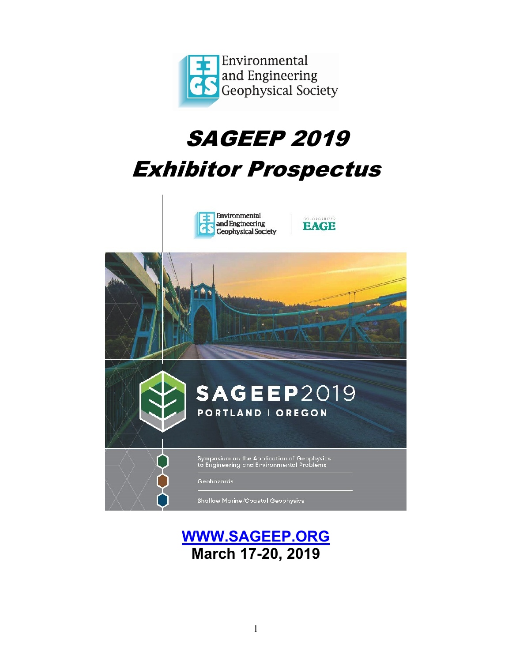

# SAGEEP 2019

# Exhibitor Prospectus



## **[WWW.SAGEEP.ORG](http://www.sageep.org/) March 17-20, 2019**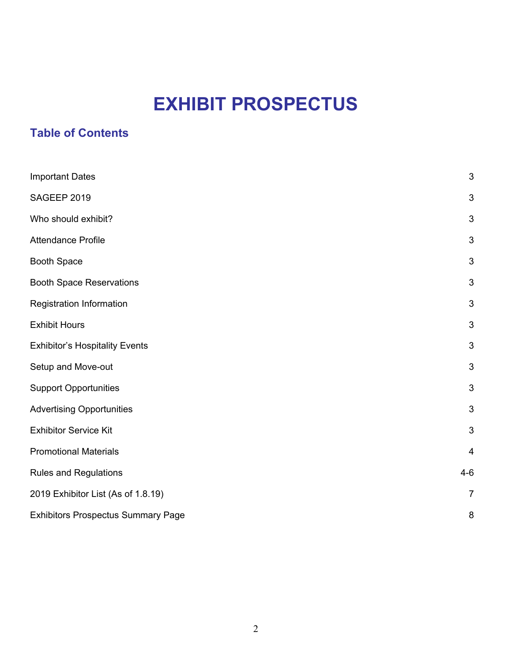## **EXHIBIT PROSPECTUS**

### **Table of Contents**

| <b>Important Dates</b>                    | $\mathfrak{B}$            |
|-------------------------------------------|---------------------------|
| SAGEEP 2019                               | $\mathfrak{S}$            |
| Who should exhibit?                       | 3                         |
| <b>Attendance Profile</b>                 | 3                         |
| <b>Booth Space</b>                        | $\mathfrak{S}$            |
| <b>Booth Space Reservations</b>           | $\mathfrak{S}$            |
| Registration Information                  | $\mathfrak{S}$            |
| <b>Exhibit Hours</b>                      | $\mathfrak{S}$            |
| <b>Exhibitor's Hospitality Events</b>     | $\mathfrak{S}$            |
| Setup and Move-out                        | $\mathfrak{S}$            |
| <b>Support Opportunities</b>              | 3                         |
| <b>Advertising Opportunities</b>          | $\ensuremath{\mathsf{3}}$ |
| <b>Exhibitor Service Kit</b>              | $\ensuremath{\mathsf{3}}$ |
| <b>Promotional Materials</b>              | $\overline{\mathbf{4}}$   |
| <b>Rules and Regulations</b>              | $4 - 6$                   |
| 2019 Exhibitor List (As of 1.8.19)        | $\overline{7}$            |
| <b>Exhibitors Prospectus Summary Page</b> | 8                         |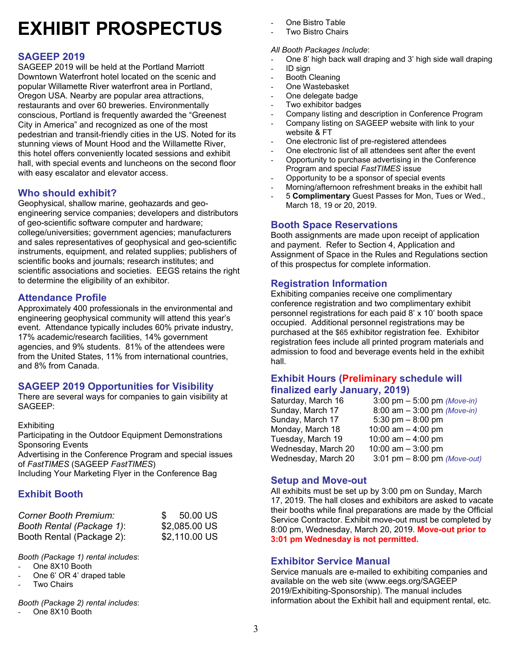# **EXHIBIT PROSPECTUS**

### **SAGEEP 2019**

SAGEEP 2019 will be held at the Portland Marriott Downtown Waterfront hotel located on the scenic and popular Willamette River waterfront area in Portland, Oregon USA. Nearby are popular area attractions, restaurants and over 60 breweries. Environmentally conscious, Portland is frequently awarded the "Greenest City in America" and recognized as one of the most pedestrian and transit-friendly cities in the US. Noted for its stunning views of Mount Hood and the Willamette River, this hotel offers conveniently located sessions and exhibit hall, with special events and luncheons on the second floor with easy escalator and elevator access.

### **Who should exhibit?**

Geophysical, shallow marine, geohazards and geoengineering service companies; developers and distributors of geo-scientific software computer and hardware; college/universities; government agencies; manufacturers and sales representatives of geophysical and geo-scientific instruments, equipment, and related supplies; publishers of scientific books and journals; research institutes; and scientific associations and societies. EEGS retains the right to determine the eligibility of an exhibitor.

### **Attendance Profile**

Approximately 400 professionals in the environmental and engineering geophysical community will attend this year's event. Attendance typically includes 60% private industry, 17% academic/research facilities, 14% government agencies, and 9% students. 81% of the attendees were from the United States, 11% from international countries, and 8% from Canada.

### **SAGEEP 2019 Opportunities for Visibility**

There are several ways for companies to gain visibility at SAGEEP:

**Exhibiting** 

Participating in the Outdoor Equipment Demonstrations Sponsoring Events

Advertising in the Conference Program and special issues of *FastTIMES* (SAGEEP *FastTIMES*)

Including Your Marketing Flyer in the Conference Bag

### **Exhibit Booth**

| Corner Booth Premium:     | $\mathcal{S}$ | 50.00 US      |
|---------------------------|---------------|---------------|
| Booth Rental (Package 1): |               | \$2,085.00 US |
| Booth Rental (Package 2): |               | \$2,110.00 US |

*Booth (Package 1) rental includes*:

- One 8X10 Booth
- One 6' OR 4' draped table
- **Two Chairs**

*Booth (Package 2) rental includes*:

One 8X10 Booth

- One Bistro Table
- Two Bistro Chairs

#### *All Booth Packages Include*:

- One 8' high back wall draping and 3' high side wall draping
- ID sign
- Booth Cleaning
- One Wastebasket
- One delegate badge
- Two exhibitor badges
- Company listing and description in Conference Program
- Company listing on SAGEEP website with link to your website & FT
- One electronic list of pre-registered attendees
- One electronic list of all attendees sent after the event
- Opportunity to purchase advertising in the Conference
- Program and special *FastTIMES* issue
- Opportunity to be a sponsor of special events
- Morning/afternoon refreshment breaks in the exhibit hall
- 5 **Complimentary** Guest Passes for Mon, Tues or Wed., March 18, 19 or 20, 2019.

#### **Booth Space Reservations**

Booth assignments are made upon receipt of application and payment. Refer to Section 4, Application and Assignment of Space in the Rules and Regulations section of this prospectus for complete information.

#### **Registration Information**

Exhibiting companies receive one complimentary conference registration and two complimentary exhibit personnel registrations for each paid 8' x 10' booth space occupied. Additional personnel registrations may be purchased at the \$65 exhibitor registration fee. Exhibitor registration fees include all printed program materials and admission to food and beverage events held in the exhibit hall.

### **Exhibit Hours (Preliminary schedule will finalized early January, 2019)**

| Saturday, March 16  | 3:00 pm $-$ 5:00 pm (Move-in)  |
|---------------------|--------------------------------|
| Sunday, March 17    | 8:00 am $-$ 3:00 pm (Move-in)  |
| Sunday, March 17    | 5:30 pm $-8:00$ pm             |
| Monday, March 18    | 10:00 am $-$ 4:00 pm           |
| Tuesday, March 19   | 10:00 am $-$ 4:00 pm           |
| Wednesday, March 20 | 10:00 am $-$ 3:00 pm           |
| Wednesday, March 20 | 3:01 pm $-$ 8:00 pm (Move-out) |
|                     |                                |

#### **Setup and Move-out**

All exhibits must be set up by 3:00 pm on Sunday, March 17, 2019. The hall closes and exhibitors are asked to vacate their booths while final preparations are made by the Official Service Contractor. Exhibit move-out must be completed by 8:00 pm, Wednesday, March 20, 2019. **Move-out prior to 3:01 pm Wednesday is not permitted.**

#### **Exhibitor Service Manual**

Service manuals are e-mailed to exhibiting companies and available on the web site (www.eegs.org/SAGEEP 2019/Exhibiting-Sponsorship). The manual includes information about the Exhibit hall and equipment rental, etc.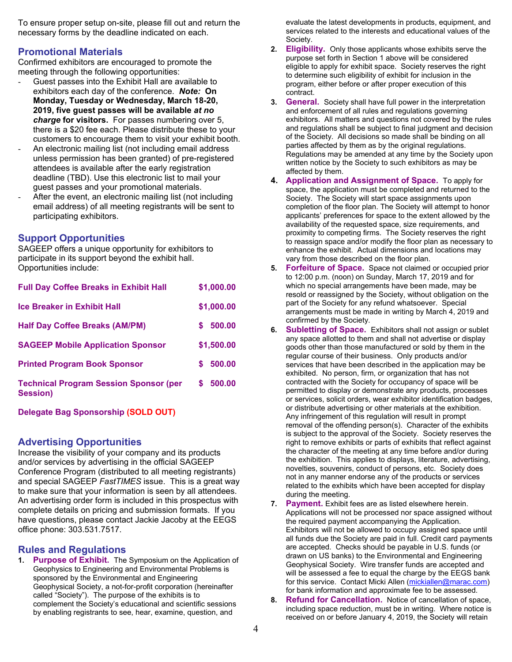To ensure proper setup on-site, please fill out and return the necessary forms by the deadline indicated on each.

#### **Promotional Materials**

Confirmed exhibitors are encouraged to promote the meeting through the following opportunities:

- Guest passes into the Exhibit Hall are available to exhibitors each day of the conference. *Note:* **On Monday, Tuesday or Wednesday, March 18-20, 2019, five guest passes will be available** *at no charge* **for visitors.** For passes numbering over 5, there is a \$20 fee each. Please distribute these to your customers to encourage them to visit your exhibit booth.
- An electronic mailing list (not including email address unless permission has been granted) of pre-registered attendees is available after the early registration deadline (TBD). Use this electronic list to mail your guest passes and your promotional materials.
- After the event, an electronic mailing list (not including email address) of all meeting registrants will be sent to participating exhibitors.

#### **Support Opportunities**

SAGEEP offers a unique opportunity for exhibitors to participate in its support beyond the exhibit hall. Opportunities include:

| <b>Full Day Coffee Breaks in Exhibit Hall</b>                    | \$1,000.00  |
|------------------------------------------------------------------|-------------|
| <b>Ice Breaker in Exhibit Hall</b>                               | \$1,000.00  |
| <b>Half Day Coffee Breaks (AM/PM)</b>                            | 500.00<br>S |
| <b>SAGEEP Mobile Application Sponsor</b>                         | \$1,500.00  |
| <b>Printed Program Book Sponsor</b>                              | 500.00<br>S |
| <b>Technical Program Session Sponsor (per</b><br><b>Session)</b> | \$500.00    |

**Delegate Bag Sponsorship (SOLD OUT)**

#### **Advertising Opportunities**

Increase the visibility of your company and its products and/or services by advertising in the official SAGEEP Conference Program (distributed to all meeting registrants) and special SAGEEP *FastTIMES* issue. This is a great way to make sure that your information is seen by all attendees. An advertising order form is included in this prospectus with complete details on pricing and submission formats. If you have questions, please contact Jackie Jacoby at the EEGS office phone: 303.531.7517.

#### **Rules and Regulations**

**1. Purpose of Exhibit.** The Symposium on the Application of Geophysics to Engineering and Environmental Problems is sponsored by the Environmental and Engineering Geophysical Society, a not-for-profit corporation (hereinafter called "Society"). The purpose of the exhibits is to complement the Society's educational and scientific sessions by enabling registrants to see, hear, examine, question, and

evaluate the latest developments in products, equipment, and services related to the interests and educational values of the Society.

- **2. Eligibility.** Only those applicants whose exhibits serve the purpose set forth in Section 1 above will be considered eligible to apply for exhibit space. Society reserves the right to determine such eligibility of exhibit for inclusion in the program, either before or after proper execution of this contract.
- **3. General.** Society shall have full power in the interpretation and enforcement of all rules and regulations governing exhibitors. All matters and questions not covered by the rules and regulations shall be subject to final judgment and decision of the Society. All decisions so made shall be binding on all parties affected by them as by the original regulations. Regulations may be amended at any time by the Society upon written notice by the Society to such exhibitors as may be affected by them.
- **4. Application and Assignment of Space.** To apply for space, the application must be completed and returned to the Society. The Society will start space assignments upon completion of the floor plan. The Society will attempt to honor applicants' preferences for space to the extent allowed by the availability of the requested space, size requirements, and proximity to competing firms. The Society reserves the right to reassign space and/or modify the floor plan as necessary to enhance the exhibit. Actual dimensions and locations may vary from those described on the floor plan.
- **5. Forfeiture of Space.** Space not claimed or occupied prior to 12:00 p.m. (noon) on Sunday, March 17, 2019 and for which no special arrangements have been made, may be resold or reassigned by the Society, without obligation on the part of the Society for any refund whatsoever. Special arrangements must be made in writing by March 4, 2019 and confirmed by the Society.
- **6. Subletting of Space.** Exhibitors shall not assign or sublet any space allotted to them and shall not advertise or display goods other than those manufactured or sold by them in the regular course of their business. Only products and/or services that have been described in the application may be exhibited. No person, firm, or organization that has not contracted with the Society for occupancy of space will be permitted to display or demonstrate any products, processes or services, solicit orders, wear exhibitor identification badges, or distribute advertising or other materials at the exhibition. Any infringement of this regulation will result in prompt removal of the offending person(s). Character of the exhibits is subject to the approval of the Society. Society reserves the right to remove exhibits or parts of exhibits that reflect against the character of the meeting at any time before and/or during the exhibition. This applies to displays, literature, advertising, novelties, souvenirs, conduct of persons, etc. Society does not in any manner endorse any of the products or services related to the exhibits which have been accepted for display during the meeting.
- **7. Payment.** Exhibit fees are as listed elsewhere herein. Applications will not be processed nor space assigned without the required payment accompanying the Application. Exhibitors will not be allowed to occupy assigned space until all funds due the Society are paid in full. Credit card payments are accepted. Checks should be payable in U.S. funds (or drawn on US banks) to the Environmental and Engineering Geophysical Society. Wire transfer funds are accepted and will be assessed a fee to equal the charge by the EEGS bank for this service. Contact Micki Allen [\(mickiallen@marac.com\)](mailto:mickiallen@marac.com) for bank information and approximate fee to be assessed.
- **8. Refund for Cancellation.** Notice of cancellation of space, including space reduction, must be in writing. Where notice is received on or before January 4, 2019, the Society will retain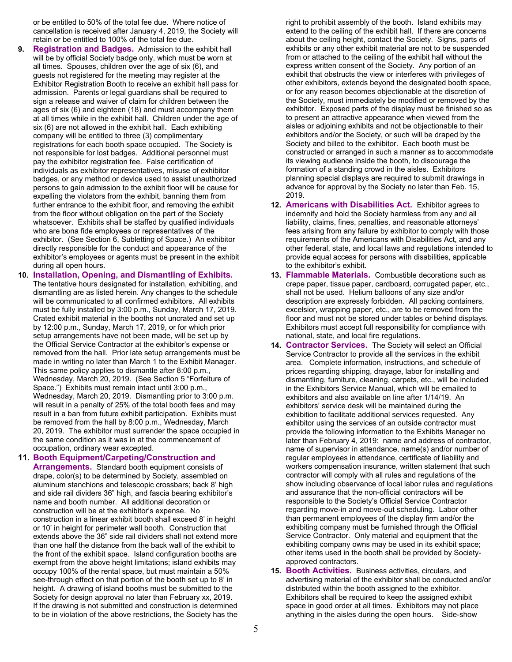or be entitled to 50% of the total fee due. Where notice of cancellation is received after January 4, 2019, the Society will retain or be entitled to 100% of the total fee due.

- **9. Registration and Badges.** Admission to the exhibit hall will be by official Society badge only, which must be worn at all times. Spouses, children over the age of six (6), and guests not registered for the meeting may register at the Exhibitor Registration Booth to receive an exhibit hall pass for admission. Parents or legal guardians shall be required to sign a release and waiver of claim for children between the ages of six (6) and eighteen (18) and must accompany them at all times while in the exhibit hall. Children under the age of six (6) are not allowed in the exhibit hall. Each exhibiting company will be entitled to three (3) complimentary registrations for each booth space occupied. The Society is not responsible for lost badges. Additional personnel must pay the exhibitor registration fee. False certification of individuals as exhibitor representatives, misuse of exhibitor badges, or any method or device used to assist unauthorized persons to gain admission to the exhibit floor will be cause for expelling the violators from the exhibit, banning them from further entrance to the exhibit floor, and removing the exhibit from the floor without obligation on the part of the Society whatsoever. Exhibits shall be staffed by qualified individuals who are bona fide employees or representatives of the exhibitor. (See Section 6, Subletting of Space.) An exhibitor directly responsible for the conduct and appearance of the exhibitor's employees or agents must be present in the exhibit during all open hours.
- **10. Installation, Opening, and Dismantling of Exhibits.** The tentative hours designated for installation, exhibiting, and dismantling are as listed herein. Any changes to the schedule will be communicated to all confirmed exhibitors. All exhibits must be fully installed by 3:00 p.m., Sunday, March 17, 2019. Crated exhibit material in the booths not uncrated and set up by 12:00 p.m., Sunday, March 17, 2019, or for which prior setup arrangements have not been made, will be set up by the Official Service Contractor at the exhibitor's expense or removed from the hall. Prior late setup arrangements must be made in writing no later than March 1 to the Exhibit Manager. This same policy applies to dismantle after 8:00 p.m., Wednesday, March 20, 2019. (See Section 5 "Forfeiture of Space.") Exhibits must remain intact until 3:00 p.m., Wednesday, March 20, 2019. Dismantling prior to 3:00 p.m. will result in a penalty of 25% of the total booth fees and may result in a ban from future exhibit participation. Exhibits must be removed from the hall by 8:00 p.m., Wednesday, March 20, 2019. The exhibitor must surrender the space occupied in the same condition as it was in at the commencement of occupation, ordinary wear excepted.

#### **11. Booth Equipment/Carpeting/Construction and**

**Arrangements.** Standard booth equipment consists of drape, color(s) to be determined by Society, assembled on aluminum stanchions and telescopic crossbars; back 8' high and side rail dividers 36" high, and fascia bearing exhibitor's name and booth number. All additional decoration or construction will be at the exhibitor's expense. No construction in a linear exhibit booth shall exceed 8' in height or 10' in height for perimeter wall booth. Construction that extends above the 36" side rail dividers shall not extend more than one half the distance from the back wall of the exhibit to the front of the exhibit space. Island configuration booths are exempt from the above height limitations; island exhibits may occupy 100% of the rental space, but must maintain a 50% see-through effect on that portion of the booth set up to 8' in height. A drawing of island booths must be submitted to the Society for design approval no later than February xx, 2019. If the drawing is not submitted and construction is determined to be in violation of the above restrictions, the Society has the right to prohibit assembly of the booth. Island exhibits may extend to the ceiling of the exhibit hall. If there are concerns about the ceiling height, contact the Society. Signs, parts of exhibits or any other exhibit material are not to be suspended from or attached to the ceiling of the exhibit hall without the express written consent of the Society. Any portion of an exhibit that obstructs the view or interferes with privileges of other exhibitors, extends beyond the designated booth space, or for any reason becomes objectionable at the discretion of the Society, must immediately be modified or removed by the exhibitor. Exposed parts of the display must be finished so as to present an attractive appearance when viewed from the aisles or adjoining exhibits and not be objectionable to their exhibitors and/or the Society, or such will be draped by the Society and billed to the exhibitor. Each booth must be constructed or arranged in such a manner as to accommodate its viewing audience inside the booth, to discourage the formation of a standing crowd in the aisles. Exhibitors planning special displays are required to submit drawings in advance for approval by the Society no later than Feb. 15, 2019.

- **12. Americans with Disabilities Act.** Exhibitor agrees to indemnify and hold the Society harmless from any and all liability, claims, fines, penalties, and reasonable attorneys' fees arising from any failure by exhibitor to comply with those requirements of the Americans with Disabilities Act, and any other federal, state, and local laws and regulations intended to provide equal access for persons with disabilities, applicable to the exhibitor's exhibit.
- **13. Flammable Materials.** Combustible decorations such as crepe paper, tissue paper, cardboard, corrugated paper, etc., shall not be used. Helium balloons of any size and/or description are expressly forbidden. All packing containers, excelsior, wrapping paper, etc., are to be removed from the floor and must not be stored under tables or behind displays. Exhibitors must accept full responsibility for compliance with national, state, and local fire regulations.
- **14. Contractor Services.** The Society will select an Official Service Contractor to provide all the services in the exhibit area. Complete information, instructions, and schedule of prices regarding shipping, drayage, labor for installing and dismantling, furniture, cleaning, carpets, etc., will be included in the Exhibitors Service Manual, which will be emailed to exhibitors and also available on line after 1/14/19. An exhibitors' service desk will be maintained during the exhibition to facilitate additional services requested. Any exhibitor using the services of an outside contractor must provide the following information to the Exhibits Manager no later than February 4, 2019: name and address of contractor, name of supervisor in attendance, name(s) and/or number of regular employees in attendance, certificate of liability and workers compensation insurance, written statement that such contractor will comply with all rules and regulations of the show including observance of local labor rules and regulations and assurance that the non-official contractors will be responsible to the Society's Official Service Contractor regarding move-in and move-out scheduling. Labor other than permanent employees of the display firm and/or the exhibiting company must be furnished through the Official Service Contractor. Only material and equipment that the exhibiting company owns may be used in its exhibit space; other items used in the booth shall be provided by Societyapproved contractors.
- **15. Booth Activities.** Business activities, circulars, and advertising material of the exhibitor shall be conducted and/or distributed within the booth assigned to the exhibitor. Exhibitors shall be required to keep the assigned exhibit space in good order at all times. Exhibitors may not place anything in the aisles during the open hours. Side-show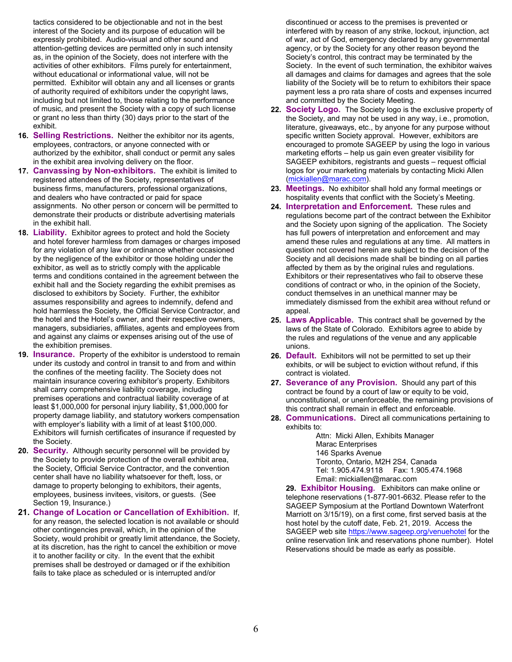tactics considered to be objectionable and not in the best interest of the Society and its purpose of education will be expressly prohibited. Audio-visual and other sound and attention-getting devices are permitted only in such intensity as, in the opinion of the Society, does not interfere with the activities of other exhibitors. Films purely for entertainment, without educational or informational value, will not be permitted. Exhibitor will obtain any and all licenses or grants of authority required of exhibitors under the copyright laws, including but not limited to, those relating to the performance of music, and present the Society with a copy of such license or grant no less than thirty (30) days prior to the start of the exhibit.

- **16. Selling Restrictions.** Neither the exhibitor nor its agents, employees, contractors, or anyone connected with or authorized by the exhibitor, shall conduct or permit any sales in the exhibit area involving delivery on the floor.
- **17. Canvassing by Non-exhibitors.** The exhibit is limited to registered attendees of the Society, representatives of business firms, manufacturers, professional organizations, and dealers who have contracted or paid for space assignments. No other person or concern will be permitted to demonstrate their products or distribute advertising materials in the exhibit hall.
- **18. Liability.** Exhibitor agrees to protect and hold the Society and hotel forever harmless from damages or charges imposed for any violation of any law or ordinance whether occasioned by the negligence of the exhibitor or those holding under the exhibitor, as well as to strictly comply with the applicable terms and conditions contained in the agreement between the exhibit hall and the Society regarding the exhibit premises as disclosed to exhibitors by Society. Further, the exhibitor assumes responsibility and agrees to indemnify, defend and hold harmless the Society, the Official Service Contractor, and the hotel and the Hotel's owner, and their respective owners, managers, subsidiaries, affiliates, agents and employees from and against any claims or expenses arising out of the use of the exhibition premises.
- **19. Insurance.** Property of the exhibitor is understood to remain under its custody and control in transit to and from and within the confines of the meeting facility. The Society does not maintain insurance covering exhibitor's property. Exhibitors shall carry comprehensive liability coverage, including premises operations and contractual liability coverage of at least \$1,000,000 for personal injury liability, \$1,000,000 for property damage liability, and statutory workers compensation with employer's liability with a limit of at least \$100,000. Exhibitors will furnish certificates of insurance if requested by the Society.
- **20. Security.** Although security personnel will be provided by the Society to provide protection of the overall exhibit area, the Society, Official Service Contractor, and the convention center shall have no liability whatsoever for theft, loss, or damage to property belonging to exhibitors, their agents, employees, business invitees, visitors, or guests. (See Section 19, Insurance.)
- **21. Change of Location or Cancellation of Exhibition.** If, for any reason, the selected location is not available or should other contingencies prevail, which, in the opinion of the Society, would prohibit or greatly limit attendance, the Society, at its discretion, has the right to cancel the exhibition or move it to another facility or city. In the event that the exhibit premises shall be destroyed or damaged or if the exhibition fails to take place as scheduled or is interrupted and/or

discontinued or access to the premises is prevented or interfered with by reason of any strike, lockout, injunction, act of war, act of God, emergency declared by any governmental agency, or by the Society for any other reason beyond the Society's control, this contract may be terminated by the Society. In the event of such termination, the exhibitor waives all damages and claims for damages and agrees that the sole liability of the Society will be to return to exhibitors their space payment less a pro rata share of costs and expenses incurred and committed by the Society Meeting.

- **22. Society Logo.** The Society logo is the exclusive property of the Society, and may not be used in any way, i.e., promotion, literature, giveaways, etc., by anyone for any purpose without specific written Society approval. However, exhibitors are encouraged to promote SAGEEP by using the logo in various marketing efforts – help us gain even greater visibility for SAGEEP exhibitors, registrants and guests – request official logos for your marketing materials by contacting Micki Allen [\(mickiallen@marac.com\)](mailto:mickiallen@marac.com).
- **23. Meetings.** No exhibitor shall hold any formal meetings or hospitality events that conflict with the Society's Meeting.
- **24. Interpretation and Enforcement.** These rules and regulations become part of the contract between the Exhibitor and the Society upon signing of the application. The Society has full powers of interpretation and enforcement and may amend these rules and regulations at any time. All matters in question not covered herein are subject to the decision of the Society and all decisions made shall be binding on all parties affected by them as by the original rules and regulations. Exhibitors or their representatives who fail to observe these conditions of contract or who, in the opinion of the Society, conduct themselves in an unethical manner may be immediately dismissed from the exhibit area without refund or appeal.
- **25. Laws Applicable.** This contract shall be governed by the laws of the State of Colorado. Exhibitors agree to abide by the rules and regulations of the venue and any applicable unions.
- **26. Default.** Exhibitors will not be permitted to set up their exhibits, or will be subject to eviction without refund, if this contract is violated.
- **27. Severance of any Provision.** Should any part of this contract be found by a court of law or equity to be void, unconstitutional, or unenforceable, the remaining provisions of this contract shall remain in effect and enforceable.
- **28. Communications.** Direct all communications pertaining to exhibits to:

Attn: Micki Allen, Exhibits Manager Marac Enterprises 146 Sparks Avenue Toronto, Ontario, M2H 2S4, Canada Tel: 1.905.474.9118 Fax: 1.905.474.1968 Email[: mickiallen@marac.com](mailto:mickiallen@marac.com)

**29. Exhibitor Housing.** Exhibitors can make online or telephone reservations (1-877-901-6632. Please refer to the SAGEEP Symposium at the Portland Downtown Waterfront Marriott on 3/15/19), on a first come, first served basis at the host hotel by the cutoff date, Feb. 21, 2019. Access the SAGEEP web site<https://www.sageep.org/venuehotel> for the online reservation link and reservations phone number). Hotel Reservations should be made as early as possible.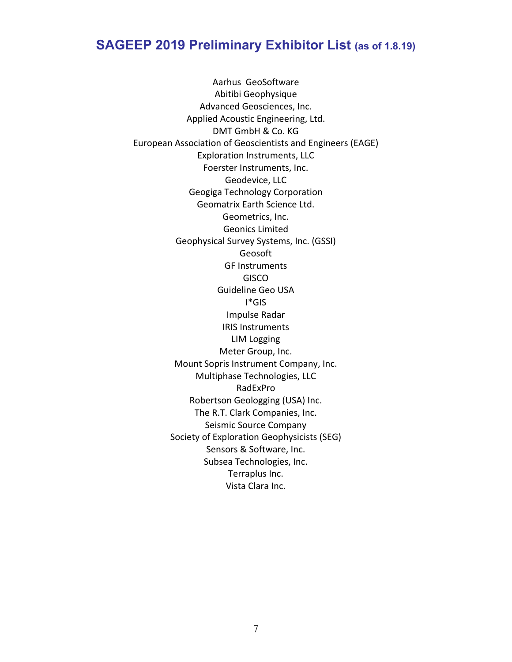### **SAGEEP 2019 Preliminary Exhibitor List (as of 1.8.19)**

Aarhus GeoSoftware Abitibi Geophysique Advanced Geosciences, Inc. Applied Acoustic Engineering, Ltd. DMT GmbH & Co. KG European Association of Geoscientists and Engineers (EAGE) Exploration Instruments, LLC Foerster Instruments, Inc. Geodevice, LLC Geogiga Technology Corporation Geomatrix Earth Science Ltd. Geometrics, Inc. Geonics Limited Geophysical Survey Systems, Inc. (GSSI) Geosoft GF Instruments **GISCO** Guideline Geo USA I\*GIS Impulse Radar IRIS Instruments LIM Logging Meter Group, Inc. Mount Sopris Instrument Company, Inc. Multiphase Technologies, LLC RadExPro Robertson Geologging (USA) Inc. The R.T. Clark Companies, Inc. Seismic Source Company Society of Exploration Geophysicists (SEG) Sensors & Software, Inc. Subsea Technologies, Inc. Terraplus Inc. Vista Clara Inc.